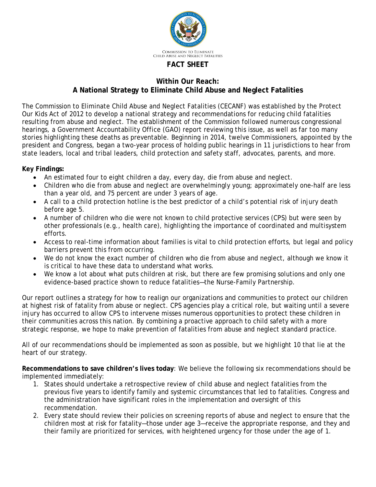

## **Within Our Reach:**

## **A National Strategy to Eliminate Child Abuse and Neglect Fatalities**

The Commission to Eliminate Child Abuse and Neglect Fatalities (CECANF) was established by the Protect Our Kids Act of 2012 to develop a national strategy and recommendations for reducing child fatalities resulting from abuse and neglect. The establishment of the Commission followed numerous congressional hearings, a Government Accountability Office (GAO) report reviewing this issue, as well as far too many stories highlighting these deaths as preventable. Beginning in 2014, twelve Commissioners, appointed by the president and Congress, began a two-year process of holding public hearings in 11 jurisdictions to hear from state leaders, local and tribal leaders, child protection and safety staff, advocates, parents, and more.

## **Key Findings:**

- An estimated four to eight children a day, every day, die from abuse and neglect.
- Children who die from abuse and neglect are overwhelmingly young; approximately one-half are less than a year old, and 75 percent are under 3 years of age.
- A call to a child protection hotline is the best predictor of a child's potential risk of injury death before age 5.
- A number of children who die were not known to child protective services (CPS) but were seen by other professionals (e.g., health care), highlighting the importance of coordinated and multisystem efforts.
- Access to real-time information about families is vital to child protection efforts, but legal and policy barriers prevent this from occurring.
- We do not know the exact number of children who die from abuse and neglect, although we know it is critical to have these data to understand what works.
- We know a lot about what puts children at risk, but there are few promising solutions and only one evidence-based practice shown to reduce fatalities—the Nurse-Family Partnership.

Our report outlines a strategy for how to realign our organizations and communities to protect our children at highest risk of fatality from abuse or neglect. CPS agencies play a critical role, but waiting until a severe injury has occurred to allow CPS to intervene misses numerous opportunities to protect these children in their communities across this nation. By combining a proactive approach to child safety with a more strategic response, we hope to make prevention of fatalities from abuse and neglect standard practice.

All of our recommendations should be implemented as soon as possible, but we highlight 10 that lie at the heart of our strategy.

**Recommendations to save children's lives today**: We believe the following six recommendations should be implemented immediately:

- 1. States should undertake a retrospective review of child abuse and neglect fatalities from the previous five years to identify family and systemic circumstances that led to fatalities. Congress and the administration have significant roles in the implementation and oversight of this recommendation.
- 2. Every state should review their policies on screening reports of abuse and neglect to ensure that the children most at risk for fatality—those under age 3—receive the appropriate response, and they and their family are prioritized for services, with heightened urgency for those under the age of 1.